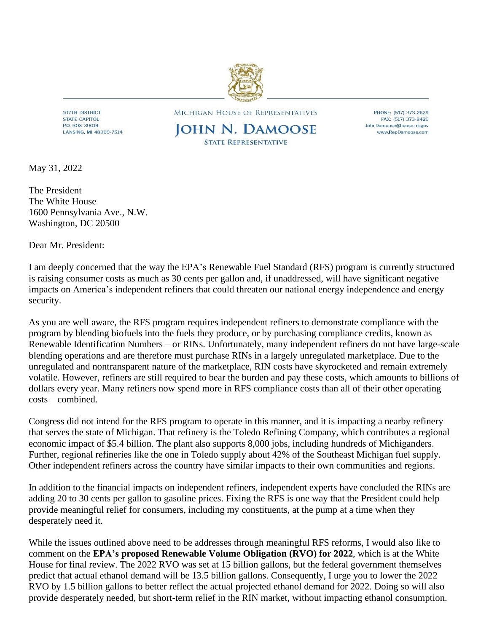

**107TH DISTRICT** STATE CAPITOL P.O. BOX 30014 LANSING, MI 48909-7514 MICHIGAN HOUSE OF REPRESENTATIVES **JOHN N. DAMOOSE** 

**STATE REPRESENTATIVE** 

PHONE: (517) 373-2629 FAX: (517) 373-8429 JohnDamoose@house.mi.gov www.RepDamoose.com

May 31, 2022

The President The White House 1600 Pennsylvania Ave., N.W. Washington, DC 20500

Dear Mr. President:

I am deeply concerned that the way the EPA's Renewable Fuel Standard (RFS) program is currently structured is raising consumer costs as much as 30 cents per gallon and, if unaddressed, will have significant negative impacts on America's independent refiners that could threaten our national energy independence and energy security.

As you are well aware, the RFS program requires independent refiners to demonstrate compliance with the program by blending biofuels into the fuels they produce, or by purchasing compliance credits, known as Renewable Identification Numbers – or RINs. Unfortunately, many independent refiners do not have large-scale blending operations and are therefore must purchase RINs in a largely unregulated marketplace. Due to the unregulated and nontransparent nature of the marketplace, RIN costs have skyrocketed and remain extremely volatile. However, refiners are still required to bear the burden and pay these costs, which amounts to billions of dollars every year. Many refiners now spend more in RFS compliance costs than all of their other operating costs – combined.

Congress did not intend for the RFS program to operate in this manner, and it is impacting a nearby refinery that serves the state of Michigan. That refinery is the Toledo Refining Company, which contributes a regional economic impact of \$5.4 billion. The plant also supports 8,000 jobs, including hundreds of Michiganders. Further, regional refineries like the one in Toledo supply about 42% of the Southeast Michigan fuel supply. Other independent refiners across the country have similar impacts to their own communities and regions.

In addition to the financial impacts on independent refiners, independent experts have concluded the RINs are adding 20 to 30 cents per gallon to gasoline prices. Fixing the RFS is one way that the President could help provide meaningful relief for consumers, including my constituents, at the pump at a time when they desperately need it.

While the issues outlined above need to be addresses through meaningful RFS reforms, I would also like to comment on the **EPA's proposed Renewable Volume Obligation (RVO) for 2022**, which is at the White House for final review. The 2022 RVO was set at 15 billion gallons, but the federal government themselves predict that actual ethanol demand will be 13.5 billion gallons. Consequently, I urge you to lower the 2022 RVO by 1.5 billion gallons to better reflect the actual projected ethanol demand for 2022. Doing so will also provide desperately needed, but short-term relief in the RIN market, without impacting ethanol consumption.